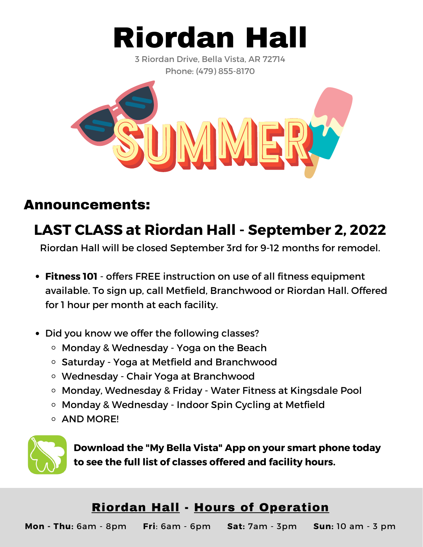

3 Riordan Drive, Bella Vista, AR 72714 Phone: (479) 855-8170



### Announcements:

# **LAST CLASS at Riordan Hall - September 2, 2022**

Riordan Hall will be closed September 3rd for 9-12 months for remodel.

- **Fitness 101** offers FREE instruction on use of all fitness equipment available. To sign up, call Metfield, Branchwood or Riordan Hall. Offered for 1 hour per month at each facility.
- Did you know we offer the following classes?
	- Monday & Wednesday Yoga on the Beach
	- Saturday Yoga at Metfield and Branchwood
	- Wednesday Chair Yoga at Branchwood
	- Monday, Wednesday & Friday Water Fitness at Kingsdale Pool
	- Monday & Wednesday Indoor Spin Cycling at Metfield
	- **O AND MORE!**



**Download the "My Bella Vista" App on your smart phone today to see the full list of classes offered and facility hours.**

### Riordan Hall - Hours of Operation